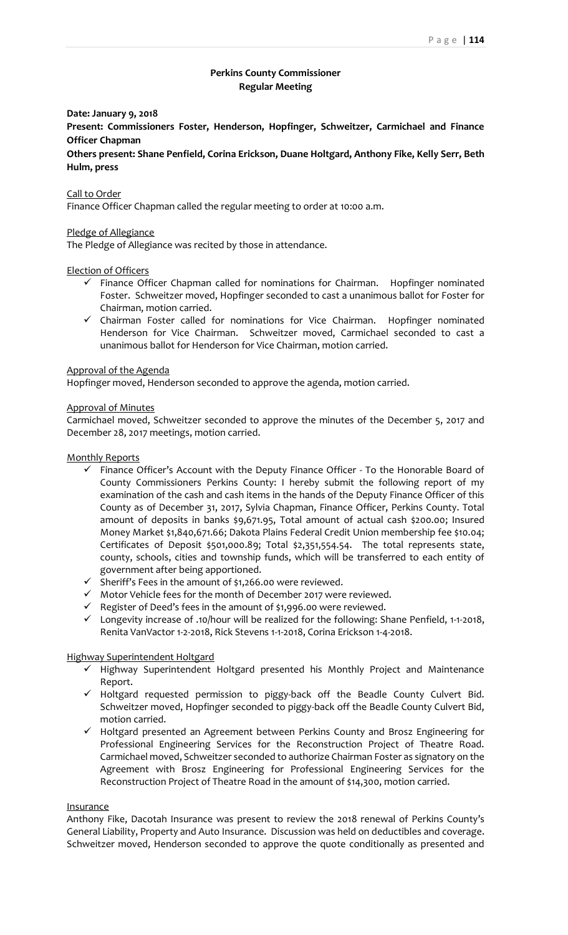# **Perkins County Commissioner Regular Meeting**

## **Date: January 9, 2018**

**Present: Commissioners Foster, Henderson, Hopfinger, Schweitzer, Carmichael and Finance Officer Chapman**

**Others present: Shane Penfield, Corina Erickson, Duane Holtgard, Anthony Fike, Kelly Serr, Beth Hulm, press**

# Call to Order

Finance Officer Chapman called the regular meeting to order at 10:00 a.m.

# Pledge of Allegiance

The Pledge of Allegiance was recited by those in attendance.

## Election of Officers

- ✓ Finance Officer Chapman called for nominations for Chairman. Hopfinger nominated Foster. Schweitzer moved, Hopfinger seconded to cast a unanimous ballot for Foster for Chairman, motion carried.
- ✓ Chairman Foster called for nominations for Vice Chairman. Hopfinger nominated Henderson for Vice Chairman. Schweitzer moved, Carmichael seconded to cast a unanimous ballot for Henderson for Vice Chairman, motion carried.

### Approval of the Agenda

Hopfinger moved, Henderson seconded to approve the agenda, motion carried.

#### Approval of Minutes

Carmichael moved, Schweitzer seconded to approve the minutes of the December 5, 2017 and December 28, 2017 meetings, motion carried.

## Monthly Reports

- $\checkmark$  Finance Officer's Account with the Deputy Finance Officer To the Honorable Board of County Commissioners Perkins County: I hereby submit the following report of my examination of the cash and cash items in the hands of the Deputy Finance Officer of this County as of December 31, 2017, Sylvia Chapman, Finance Officer, Perkins County. Total amount of deposits in banks \$9,671.95, Total amount of actual cash \$200.00; Insured Money Market \$1,840,671.66; Dakota Plains Federal Credit Union membership fee \$10.04; Certificates of Deposit \$501,000.89; Total \$2,351,554.54. The total represents state, county, schools, cities and township funds, which will be transferred to each entity of government after being apportioned.
- $\checkmark$  Sheriff's Fees in the amount of \$1,266.00 were reviewed.
- ✓ Motor Vehicle fees for the month of December 2017 were reviewed.
- ✓ Register of Deed's fees in the amount of \$1,996.00 were reviewed.
- ✓ Longevity increase of .10/hour will be realized for the following: Shane Penfield, 1-1-2018, Renita VanVactor 1-2-2018, Rick Stevens 1-1-2018, Corina Erickson 1-4-2018.

### Highway Superintendent Holtgard

- ✓ Highway Superintendent Holtgard presented his Monthly Project and Maintenance Report.
- $\checkmark$  Holtgard requested permission to piggy-back off the Beadle County Culvert Bid. Schweitzer moved, Hopfinger seconded to piggy-back off the Beadle County Culvert Bid, motion carried.
- ✓ Holtgard presented an Agreement between Perkins County and Brosz Engineering for Professional Engineering Services for the Reconstruction Project of Theatre Road. Carmichael moved, Schweitzer seconded to authorize Chairman Foster as signatory on the Agreement with Brosz Engineering for Professional Engineering Services for the Reconstruction Project of Theatre Road in the amount of \$14,300, motion carried.

### Insurance

Anthony Fike, Dacotah Insurance was present to review the 2018 renewal of Perkins County's General Liability, Property and Auto Insurance. Discussion was held on deductibles and coverage. Schweitzer moved, Henderson seconded to approve the quote conditionally as presented and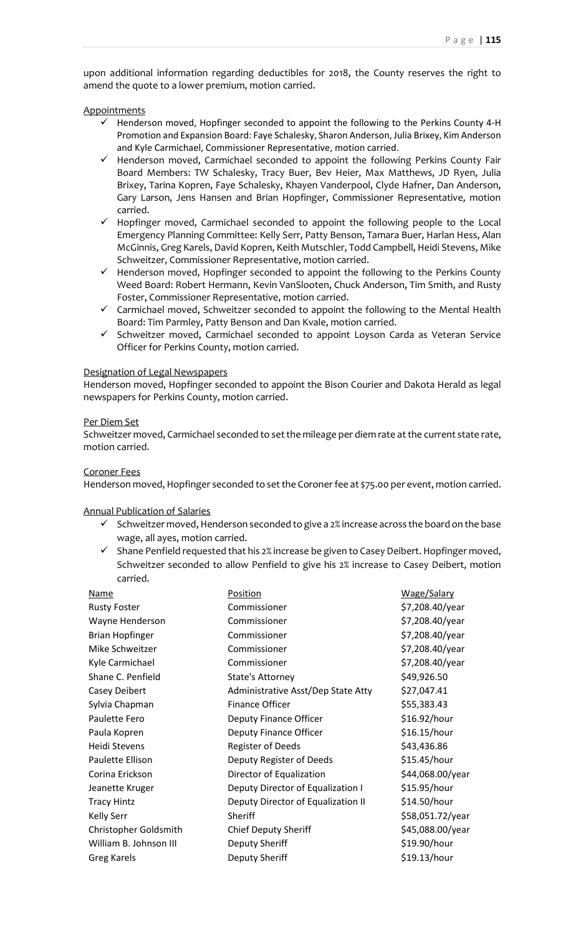upon additional information regarding deductibles for 2018, the County reserves the right to amend the quote to a lower premium, motion carried.

**Appointments** 

- $\checkmark$  Henderson moved, Hopfinger seconded to appoint the following to the Perkins County 4-H Promotion and Expansion Board: Faye Schalesky, Sharon Anderson, Julia Brixey, Kim Anderson and Kyle Carmichael, Commissioner Representative, motion carried.
- ✓ Henderson moved, Carmichael seconded to appoint the following Perkins County Fair Board Members: TW Schalesky, Tracy Buer, Bev Heier, Max Matthews, JD Ryen, Julia Brixey, Tarina Kopren, Faye Schalesky, Khayen Vanderpool, Clyde Hafner, Dan Anderson, Gary Larson, Jens Hansen and Brian Hopfinger, Commissioner Representative, motion carried.
- $\checkmark$  Hopfinger moved, Carmichael seconded to appoint the following people to the Local Emergency Planning Committee: Kelly Serr, Patty Benson, Tamara Buer, Harlan Hess, Alan McGinnis, Greg Karels, David Kopren, Keith Mutschler, Todd Campbell, Heidi Stevens, Mike Schweitzer, Commissioner Representative, motion carried.
- ✓ Henderson moved, Hopfinger seconded to appoint the following to the Perkins County Weed Board: Robert Hermann, Kevin VanSlooten, Chuck Anderson, Tim Smith, and Rusty Foster, Commissioner Representative, motion carried.
- ✓ Carmichael moved, Schweitzer seconded to appoint the following to the Mental Health Board: Tim Parmley, Patty Benson and Dan Kvale, motion carried.
- ✓ Schweitzer moved, Carmichael seconded to appoint Loyson Carda as Veteran Service Officer for Perkins County, motion carried.

### Designation of Legal Newspapers

Henderson moved, Hopfinger seconded to appoint the Bison Courier and Dakota Herald as legal newspapers for Perkins County, motion carried.

#### Per Diem Set

Schweitzer moved, Carmichael seconded to set the mileage per diem rate at the current state rate, motion carried.

## Coroner Fees

Henderson moved, Hopfinger seconded to set the Coroner fee at \$75.00 per event, motion carried.

## Annual Publication of Salaries

- ✓ Schweitzer moved, Henderson seconded to give a 2% increase across the board on the base wage, all ayes, motion carried.
- $\checkmark$  Shane Penfield requested that his 2% increase be given to Casey Deibert. Hopfinger moved, Schweitzer seconded to allow Penfield to give his 2% increase to Casey Deibert, motion carried.

| Name                   | Position                           | Wage/Salary      |
|------------------------|------------------------------------|------------------|
| <b>Rusty Foster</b>    | Commissioner                       | \$7,208.40/year  |
| Wayne Henderson        | Commissioner                       | \$7,208.40/year  |
| <b>Brian Hopfinger</b> | Commissioner                       | \$7,208.40/year  |
| Mike Schweitzer        | Commissioner                       | \$7,208.40/year  |
| Kyle Carmichael        | Commissioner                       | \$7,208.40/year  |
| Shane C. Penfield      | <b>State's Attorney</b>            | \$49,926.50      |
| Casey Deibert          | Administrative Asst/Dep State Atty | \$27,047.41      |
| Sylvia Chapman         | Finance Officer                    | \$55,383.43      |
| Paulette Fero          | Deputy Finance Officer             | \$16.92/hour     |
| Paula Kopren           | Deputy Finance Officer             | \$16.15/hour     |
| Heidi Stevens          | <b>Register of Deeds</b>           | \$43,436.86      |
| Paulette Ellison       | Deputy Register of Deeds           | \$15.45/hour     |
| Corina Erickson        | Director of Equalization           | \$44,068.00/year |
| Jeanette Kruger        | Deputy Director of Equalization I  | \$15.95/hour     |
| <b>Tracy Hintz</b>     | Deputy Director of Equalization II | \$14.50/hour     |
| <b>Kelly Serr</b>      | Sheriff                            | \$58,051.72/year |
| Christopher Goldsmith  | <b>Chief Deputy Sheriff</b>        | \$45,088.00/year |
| William B. Johnson III | Deputy Sheriff                     | \$19.90/hour     |
| Greg Karels            | Deputy Sheriff                     | \$19.13/hour     |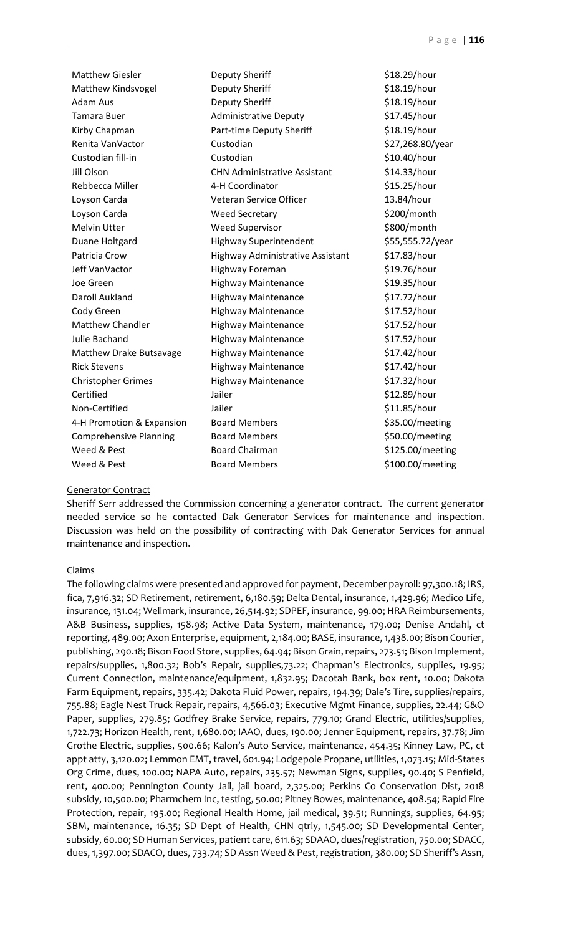| <b>Matthew Giesler</b>        | <b>Deputy Sheriff</b>               | \$18.29/hour     |
|-------------------------------|-------------------------------------|------------------|
| Matthew Kindsvogel            | <b>Deputy Sheriff</b>               | \$18.19/hour     |
| Adam Aus                      | <b>Deputy Sheriff</b>               | \$18.19/hour     |
| <b>Tamara Buer</b>            | <b>Administrative Deputy</b>        | \$17.45/hour     |
| Kirby Chapman                 | Part-time Deputy Sheriff            | \$18.19/hour     |
| Renita VanVactor              | Custodian                           | \$27,268.80/year |
| Custodian fill-in             | Custodian                           | \$10.40/hour     |
| Jill Olson                    | <b>CHN Administrative Assistant</b> | \$14.33/hour     |
| Rebbecca Miller               | 4-H Coordinator                     | \$15.25/hour     |
| Loyson Carda                  | Veteran Service Officer             | 13.84/hour       |
| Loyson Carda                  | <b>Weed Secretary</b>               | \$200/month      |
| <b>Melvin Utter</b>           | <b>Weed Supervisor</b>              | \$800/month      |
| Duane Holtgard                | Highway Superintendent              | \$55,555.72/year |
| Patricia Crow                 | Highway Administrative Assistant    | \$17.83/hour     |
| Jeff VanVactor                | Highway Foreman                     | \$19.76/hour     |
| Joe Green                     | <b>Highway Maintenance</b>          | \$19.35/hour     |
| Daroll Aukland                | <b>Highway Maintenance</b>          | \$17.72/hour     |
| Cody Green                    | <b>Highway Maintenance</b>          | \$17.52/hour     |
| Matthew Chandler              | <b>Highway Maintenance</b>          | \$17.52/hour     |
| Julie Bachand                 | <b>Highway Maintenance</b>          | \$17.52/hour     |
| Matthew Drake Butsavage       | <b>Highway Maintenance</b>          | \$17.42/hour     |
| <b>Rick Stevens</b>           | <b>Highway Maintenance</b>          | \$17.42/hour     |
| <b>Christopher Grimes</b>     | <b>Highway Maintenance</b>          | \$17.32/hour     |
| Certified                     | Jailer                              | \$12.89/hour     |
| Non-Certified                 | Jailer                              | \$11.85/hour     |
| 4-H Promotion & Expansion     | <b>Board Members</b>                | \$35.00/meeting  |
| <b>Comprehensive Planning</b> | <b>Board Members</b>                | \$50.00/meeting  |
| Weed & Pest                   | <b>Board Chairman</b>               | \$125.00/meeting |
| Weed & Pest                   | <b>Board Members</b>                | \$100.00/meeting |
|                               |                                     |                  |

# Generator Contract

Sheriff Serr addressed the Commission concerning a generator contract. The current generator needed service so he contacted Dak Generator Services for maintenance and inspection. Discussion was held on the possibility of contracting with Dak Generator Services for annual maintenance and inspection.

#### Claims

The following claims were presented and approved for payment, December payroll: 97,300.18; IRS, fica, 7,916.32; SD Retirement, retirement, 6,180.59; Delta Dental, insurance, 1,429.96; Medico Life, insurance, 131.04; Wellmark, insurance, 26,514.92; SDPEF, insurance, 99.00; HRA Reimbursements, A&B Business, supplies, 158.98; Active Data System, maintenance, 179.00; Denise Andahl, ct reporting, 489.00; Axon Enterprise, equipment, 2,184.00; BASE, insurance, 1,438.00; Bison Courier, publishing, 290.18; Bison Food Store, supplies, 64.94; Bison Grain, repairs, 273.51; Bison Implement, repairs/supplies, 1,800.32; Bob's Repair, supplies,73.22; Chapman's Electronics, supplies, 19.95; Current Connection, maintenance/equipment, 1,832.95; Dacotah Bank, box rent, 10.00; Dakota Farm Equipment, repairs, 335.42; Dakota Fluid Power, repairs, 194.39; Dale's Tire, supplies/repairs, 755.88; Eagle Nest Truck Repair, repairs, 4,566.03; Executive Mgmt Finance, supplies, 22.44; G&O Paper, supplies, 279.85; Godfrey Brake Service, repairs, 779.10; Grand Electric, utilities/supplies, 1,722.73; Horizon Health, rent, 1,680.00; IAAO, dues, 190.00; Jenner Equipment, repairs, 37.78; Jim Grothe Electric, supplies, 500.66; Kalon's Auto Service, maintenance, 454.35; Kinney Law, PC, ct appt atty, 3,120.02; Lemmon EMT, travel, 601.94; Lodgepole Propane, utilities, 1,073.15; Mid-States Org Crime, dues, 100.00; NAPA Auto, repairs, 235.57; Newman Signs, supplies, 90.40; S Penfield, rent, 400.00; Pennington County Jail, jail board, 2,325.00; Perkins Co Conservation Dist, 2018 subsidy, 10,500.00; Pharmchem Inc, testing, 50.00; Pitney Bowes, maintenance, 408.54; Rapid Fire Protection, repair, 195.00; Regional Health Home, jail medical, 39.51; Runnings, supplies, 64.95; SBM, maintenance, 16.35; SD Dept of Health, CHN qtrly, 1,545.00; SD Developmental Center, subsidy, 60.00; SD Human Services, patient care, 611.63; SDAAO, dues/registration, 750.00; SDACC, dues, 1,397.00; SDACO, dues, 733.74; SD Assn Weed & Pest, registration, 380.00; SD Sheriff's Assn,